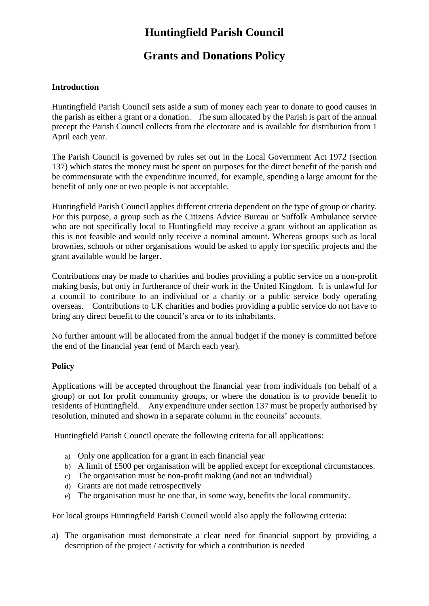# **Huntingfield Parish Council**

## **Grants and Donations Policy**

### **Introduction**

Huntingfield Parish Council sets aside a sum of money each year to donate to good causes in the parish as either a grant or a donation. The sum allocated by the Parish is part of the annual precept the Parish Council collects from the electorate and is available for distribution from 1 April each year.

The Parish Council is governed by rules set out in the Local Government Act 1972 (section 137) which states the money must be spent on purposes for the direct benefit of the parish and be commensurate with the expenditure incurred, for example, spending a large amount for the benefit of only one or two people is not acceptable.

Huntingfield Parish Council applies different criteria dependent on the type of group or charity. For this purpose, a group such as the Citizens Advice Bureau or Suffolk Ambulance service who are not specifically local to Huntingfield may receive a grant without an application as this is not feasible and would only receive a nominal amount. Whereas groups such as local brownies, schools or other organisations would be asked to apply for specific projects and the grant available would be larger.

Contributions may be made to charities and bodies providing a public service on a non-profit making basis, but only in furtherance of their work in the United Kingdom. It is unlawful for a council to contribute to an individual or a charity or a public service body operating overseas. Contributions to UK charities and bodies providing a public service do not have to bring any direct benefit to the council's area or to its inhabitants.

No further amount will be allocated from the annual budget if the money is committed before the end of the financial year (end of March each year).

### **Policy**

Applications will be accepted throughout the financial year from individuals (on behalf of a group) or not for profit community groups, or where the donation is to provide benefit to residents of Huntingfield. Any expenditure under section 137 must be properly authorised by resolution, minuted and shown in a separate column in the councils' accounts.

Huntingfield Parish Council operate the following criteria for all applications:

- a) Only one application for a grant in each financial year
- b) A limit of £500 per organisation will be applied except for exceptional circumstances.
- c) The organisation must be non-profit making (and not an individual)
- d) Grants are not made retrospectively
- e) The organisation must be one that, in some way, benefits the local community.

For local groups Huntingfield Parish Council would also apply the following criteria:

a) The organisation must demonstrate a clear need for financial support by providing a description of the project / activity for which a contribution is needed